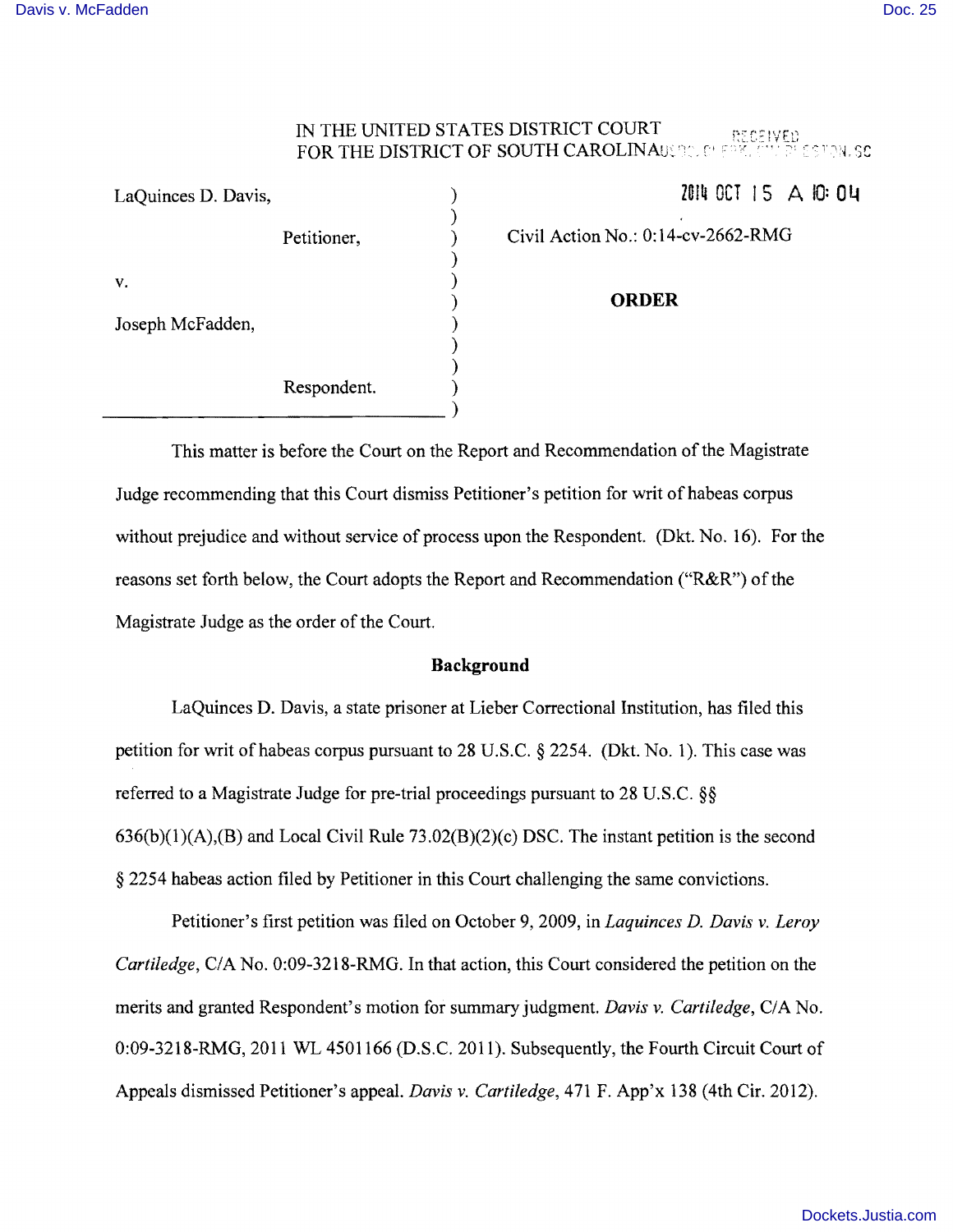# IN THE UNITED STATES DISTRICT COURT FOR THE DISTRICT OF SOUTH CAROLINAUSSER OF SOLD

|                     | Respondent. |  |
|---------------------|-------------|--|
|                     |             |  |
| Joseph McFadden,    |             |  |
| v.                  |             |  |
|                     |             |  |
|                     | Petitioner, |  |
| LaQuinces D. Davis, |             |  |

LaQuinces D. Davis, ) OCT I 5 A 10: 0**'of** 

) Civil Action No.: 0:14-cv-2662-RMG

) **ORDER** 

This matter is before the Court on the Report and Recommendation of the Magistrate Judge recommending that this Court dismiss Petitioner's petition for writ of habeas corpus without prejudice and without service of process upon the Respondent. (Dkt. No. 16). For the reasons set forth below, the Court adopts the Report and Recommendation ("R&R") of the Magistrate Judge as the order of the Court.

### **Background**

LaQuinces D. Davis, a state prisoner at Lieber Correctional Institution, has filed this petition for writ of habeas corpus pursuant to 28 U.S.c. § 2254. (Dkt. No.1). This case was referred to a Magistrate Judge for pre-trial proceedings pursuant to 28 U.S.C. §§  $636(b)(1)(A),(B)$  and Local Civil Rule  $73.02(B)(2)(c)$  DSC. The instant petition is the second § 2254 habeas action filed by Petitioner in this Court challenging the same convictions.

Petitioner's first petition was filed on October 9,2009, in *Laquinces D. Davis* v. *Leroy Carti/edge, CIA* No. 0:09-3218-RMG. In that action, this Court considered the petition on the merits and granted Respondent's motion for summary judgment. *Davis v. Cartiledge*, C/A No. 0:09-3218-RMG, 2011 WL 4501166 (D.S.C. 2011). Subsequently, the Fourth Circuit Court of Appeals dismissed Petitioner's appeal. *Davis* v. *Cartiledge,* 471 F. App'x 138 (4th Cir. 2012).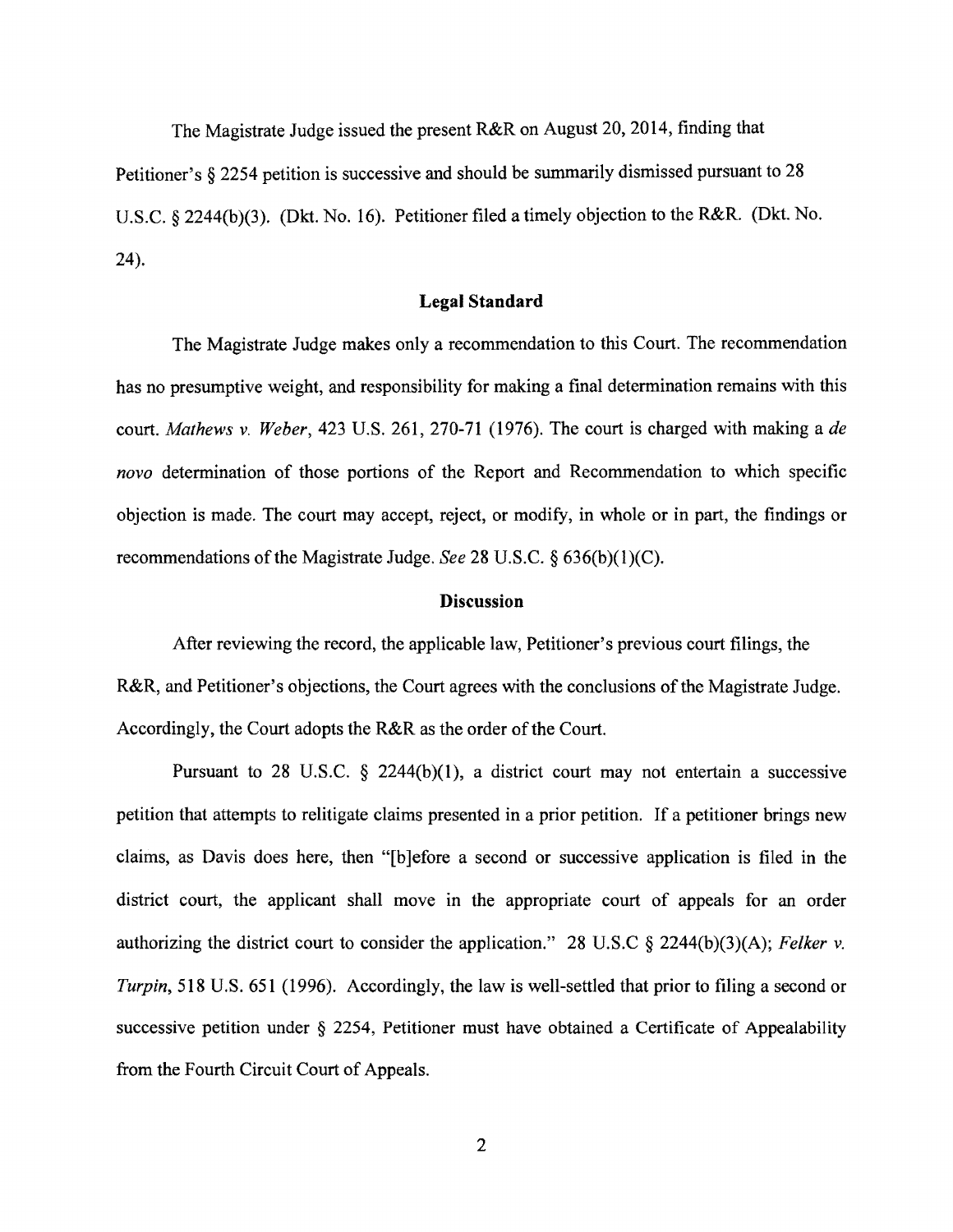The Magistrate Judge issued the present R&R on August 20, 2014, finding that

Petitioner's § 2254 petition is successive and should be summarily dismissed pursuant to 28 U.S.C. § 2244(b)(3). (Dkt. No. 16). Petitioner filed a timely objection to the R&R. (Dkt. No. 24).

## **Legal Standard**

The Magistrate Judge makes only a recommendation to this Court. The recommendation has no presumptive weight, and responsibility for making a final determination remains with this court. *Mathews* v. *Weber,* 423 U.S. 261, 270-71 (1976). The court is charged with making a *de novo* determination of those portions of the Report and Recommendation to which specific objection is made. The court may accept, reject, or modify, in whole or in part, the findings or recommendations of the Magistrate Judge. *See* 28 U.S.C. § 636(b)(1)(C).

#### **Discussion**

After reviewing the record, the applicable law, Petitioner's previous court filings, the R&R, and Petitioner's objections, the Court agrees with the conclusions of the Magistrate Judge. Accordingly, the Court adopts the R&R as the order of the Court.

Pursuant to 28 U.S.C.  $\S$  2244(b)(1), a district court may not entertain a successive petition that attempts to relitigate claims presented in a prior petition. If a petitioner brings new claims, as Davis does here, then "[b ]efore a second or successive application is filed in the district court, the applicant shall move in the appropriate court of appeals for an order authorizing the district court to consider the application." 28 U.S.C § 2244(b)(3)(A); *Felker* v. *Turpin*, 518 U.S. 651 (1996). Accordingly, the law is well-settled that prior to filing a second or successive petition under § 2254, Petitioner must have obtained a Certificate of Appealability from the Fourth Circuit Court of Appeals.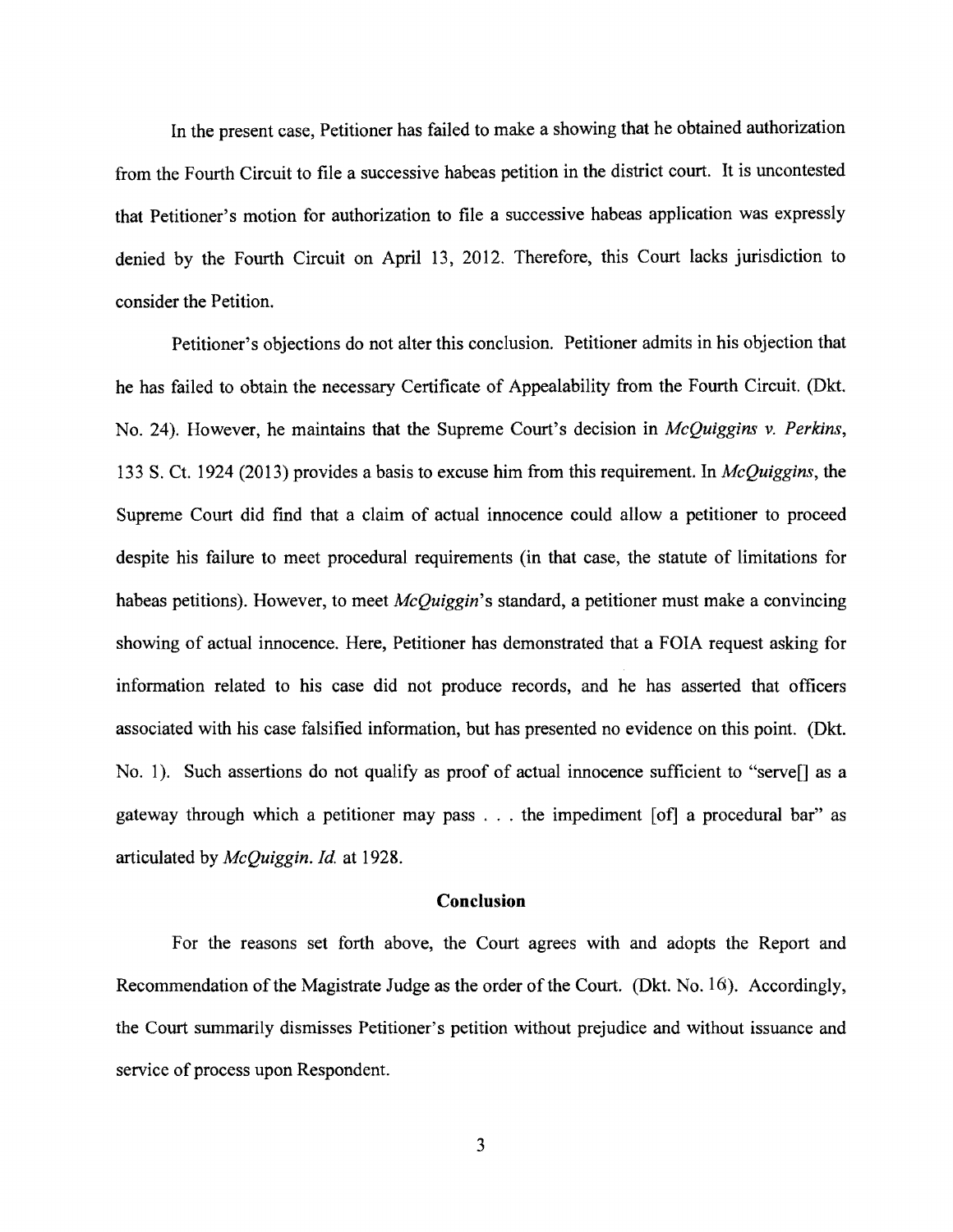In the present case, Petitioner has failed to make a showing that he obtained authorization from the Fourth Circuit to file a successive habeas petition in the district court. It is uncontested that Petitioner's motion for authorization to file a successive habeas application was expressly denied by the Fourth Circuit on April 13, 2012. Therefore, this Court lacks jurisdiction to consider the Petition.

Petitioner's objections do not alter this conclusion. Petitioner admits in his objection that he has failed to obtain the necessary Certificate of Appealability from the Fourth Circuit. (Dkt. No. 24). However, he maintains that the Supreme Court's decision in *McQuiggins* v. *Perkins,*  133 S. Ct. 1924 (2013) provides a basis to excuse him from this requirement. In *McQuiggins,* the Supreme Court did find that a claim of actual innocence could allow a petitioner to proceed despite his failure to meet procedural requirements (in that case, the statute of limitations for habeas petitions). However, to meet *McQuiggin's* standard, a petitioner must make a convincing showing of actual innocence. Here, Petitioner has demonstrated that a F01A request asking for information related to his case did not produce records, and he has asserted that officers associated with his case falsified information, but has presented no evidence on this point. (Dkt. No. 1). Such assertions do not qualify as proof of actual innocence sufficient to "servel" as a gateway through which a petitioner may pass . . . the impediment [of] a procedural bar" as articulated by *McQuiggin. ld* at 1928.

#### **Conclusion**

For the reasons set forth above, the Court agrees with and adopts the Report and Recommendation of the Magistrate Judge as the order of the Court. (Dkt. No. 16). Accordingly the Court summarily dismisses Petitioner'S petition without prejudice and without issuance and service of process upon Respondent.